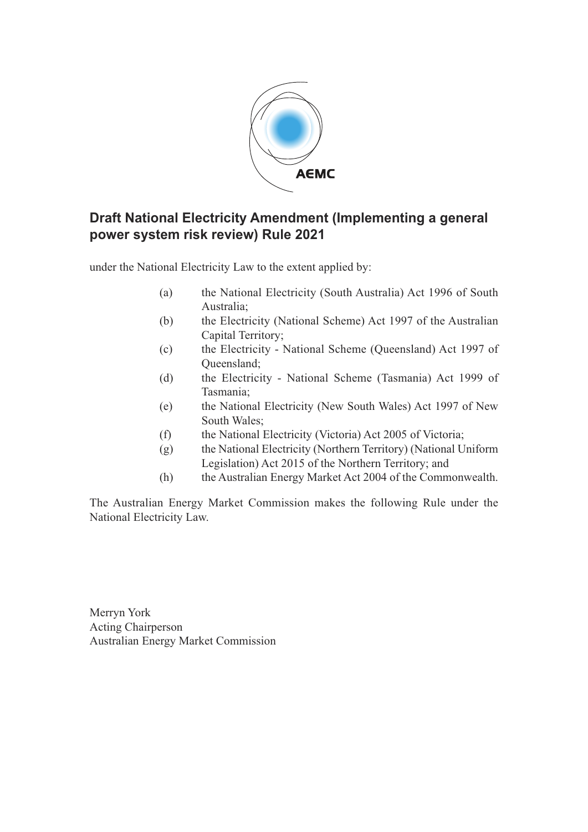

#### **Draft National Electricity Amendment (Implementing a general power system risk review) Rule 2021**

under the National Electricity Law to the extent applied by:

- (a) the National Electricity (South Australia) Act 1996 of South Australia;
- (b) the Electricity (National Scheme) Act 1997 of the Australian Capital Territory;
- (c) the Electricity National Scheme (Queensland) Act 1997 of Queensland;
- (d) the Electricity National Scheme (Tasmania) Act 1999 of Tasmania;
- (e) the National Electricity (New South Wales) Act 1997 of New South Wales;
- (f) the National Electricity (Victoria) Act 2005 of Victoria;
- (g) the National Electricity (Northern Territory) (National Uniform Legislation) Act 2015 of the Northern Territory; and
- (h) the Australian Energy Market Act 2004 of the Commonwealth.

The Australian Energy Market Commission makes the following Rule under the National Electricity Law.

Merryn York Acting Chairperson Australian Energy Market Commission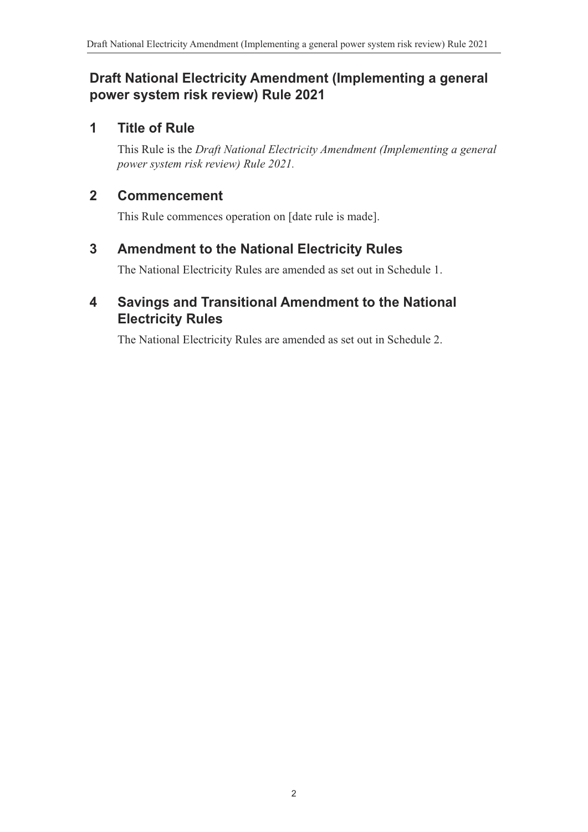## **Draft National Electricity Amendment (Implementing a general power system risk review) Rule 2021**

## **1 Title of Rule**

This Rule is the *Draft National Electricity Amendment (Implementing a general power system risk review) Rule 2021.*

## **2 Commencement**

This Rule commences operation on [date rule is made].

## **3 Amendment to the National Electricity Rules**

<span id="page-1-0"></span>The National Electricity Rules are amended as set out in [Schedule 1.](#page-2-0)

## **4 Savings and Transitional Amendment to the National Electricity Rules**

<span id="page-1-1"></span>The National Electricity Rules are amended as set out in [Schedule 2.](#page-10-0)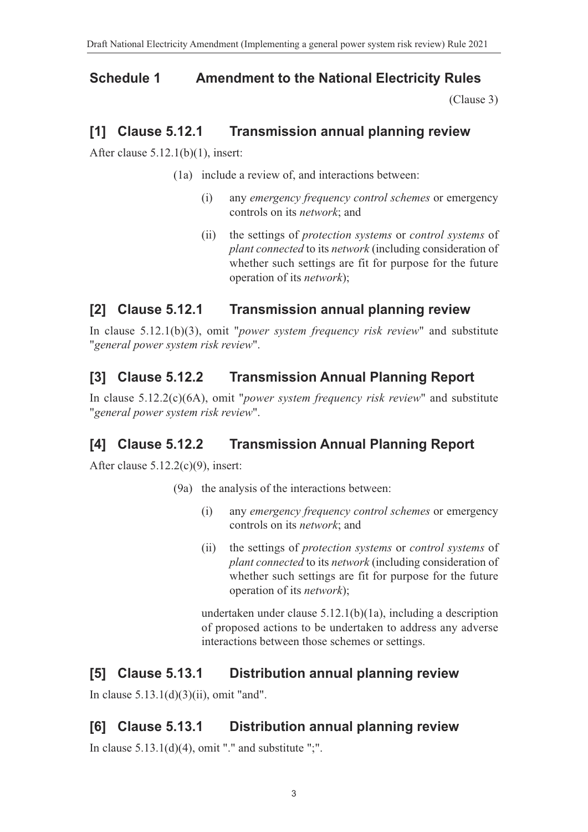## **Schedule 1 Amendment to the National Electricity Rules**

<span id="page-2-0"></span>[\(Clause 3\)](#page-1-0)

#### **[1] Clause 5.12.1 Transmission annual planning review**

After clause 5.12.1(b)(1), insert:

- (1a) include a review of, and interactions between:
	- (i) any *emergency frequency control schemes* or emergency controls on its *network*; and
	- (ii) the settings of *protection systems* or *control systems* of *plant connected* to its *network* (including consideration of whether such settings are fit for purpose for the future operation of its *network*);

#### **[2] Clause 5.12.1 Transmission annual planning review**

In clause 5.12.1(b)(3), omit "*power system frequency risk review*" and substitute "*general power system risk review*".

## **[3] Clause 5.12.2 Transmission Annual Planning Report**

In clause 5.12.2(c)(6A), omit "*power system frequency risk review*" and substitute "*general power system risk review*".

#### **[4] Clause 5.12.2 Transmission Annual Planning Report**

After clause 5.12.2(c)(9), insert:

- (9a) the analysis of the interactions between:
	- (i) any *emergency frequency control schemes* or emergency controls on its *network*; and
	- (ii) the settings of *protection systems* or *control systems* of *plant connected* to its *network* (including consideration of whether such settings are fit for purpose for the future operation of its *network*);

undertaken under clause 5.12.1(b)(1a), including a description of proposed actions to be undertaken to address any adverse interactions between those schemes or settings.

#### **[5] Clause 5.13.1 Distribution annual planning review**

In clause 5.13.1(d)(3)(ii), omit "and".

#### **[6] Clause 5.13.1 Distribution annual planning review**

In clause  $5.13.1(d)(4)$ , omit "." and substitute ";".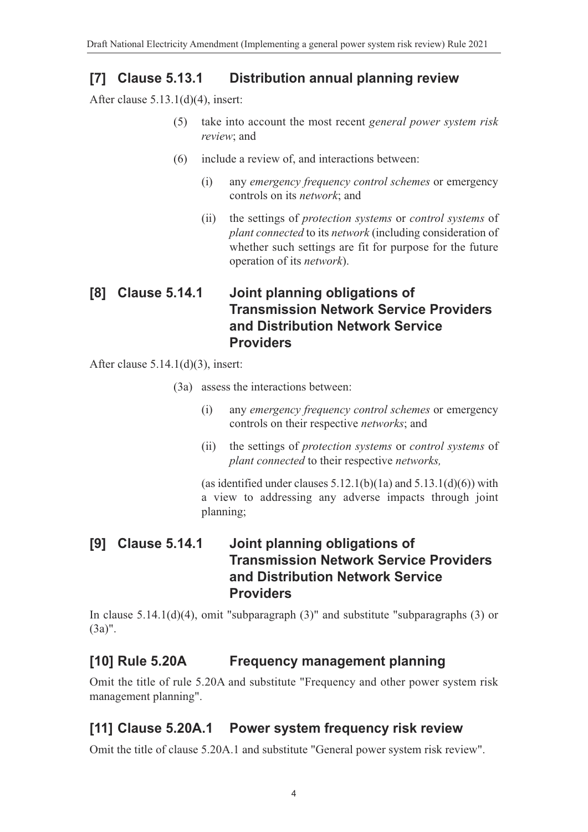#### **[7] Clause 5.13.1 Distribution annual planning review**

After clause 5.13.1(d)(4), insert:

- (5) take into account the most recent *general power system risk review*; and
- (6) include a review of, and interactions between:
	- (i) any *emergency frequency control schemes* or emergency controls on its *network*; and
	- (ii) the settings of *protection systems* or *control systems* of *plant connected* to its *network* (including consideration of whether such settings are fit for purpose for the future operation of its *network*).

#### **[8] Clause 5.14.1 Joint planning obligations of Transmission Network Service Providers and Distribution Network Service Providers**

After clause  $5.14.1(d)(3)$ , insert:

- (3a) assess the interactions between:
	- (i) any *emergency frequency control schemes* or emergency controls on their respective *networks*; and
	- (ii) the settings of *protection systems* or *control systems* of *plant connected* to their respective *networks,*

(as identified under clauses  $5.12.1(b)(1a)$  and  $5.13.1(d)(6)$ ) with a view to addressing any adverse impacts through joint planning;

#### **[9] Clause 5.14.1 Joint planning obligations of Transmission Network Service Providers and Distribution Network Service Providers**

In clause 5.14.1(d)(4), omit "subparagraph (3)" and substitute "subparagraphs (3) or (3a)".

#### **[10] Rule 5.20A Frequency management planning**

Omit the title of rule 5.20A and substitute "Frequency and other power system risk management planning".

#### **[11] Clause 5.20A.1 Power system frequency risk review**

Omit the title of clause 5.20A.1 and substitute "General power system risk review".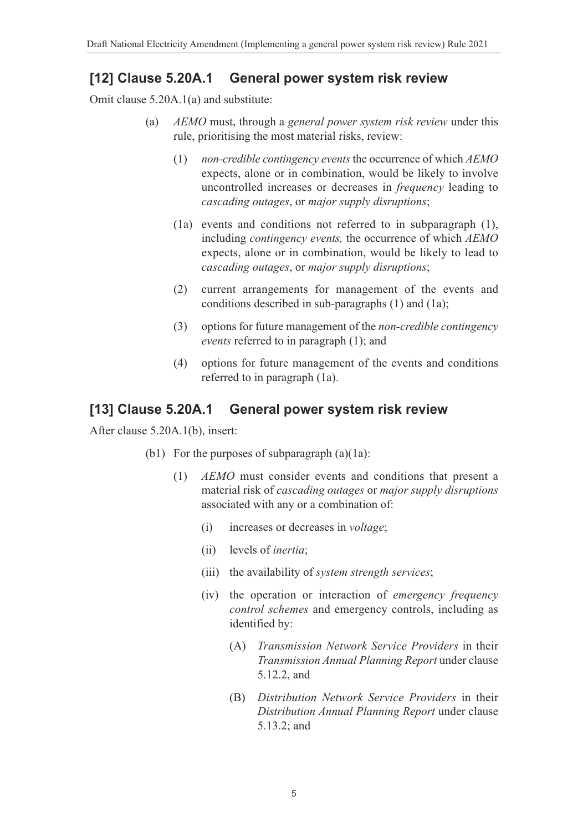#### **[12] Clause 5.20A.1 General power system risk review**

Omit clause 5.20A.1(a) and substitute:

- (a) *AEMO* must, through a *general power system risk review* under this rule, prioritising the most material risks, review:
	- (1) *non-credible contingency events* the occurrence of which *AEMO* expects, alone or in combination, would be likely to involve uncontrolled increases or decreases in *frequency* leading to *cascading outages*, or *major supply disruptions*;
	- (1a) events and conditions not referred to in subparagraph (1), including *contingency events,* the occurrence of which *AEMO* expects, alone or in combination, would be likely to lead to *cascading outages*, or *major supply disruptions*;
	- (2) current arrangements for management of the events and conditions described in sub*-*paragraphs (1) and (1a);
	- (3) options for future management of the *non-credible contingency events* referred to in paragraph (1); and
	- (4) options for future management of the events and conditions referred to in paragraph (1a).

#### **[13] Clause 5.20A.1 General power system risk review**

After clause 5.20A.1(b), insert:

- (b1) For the purposes of subparagraph  $(a)(1a)$ :
	- (1) *AEMO* must consider events and conditions that present a material risk of *cascading outages* or *major supply disruptions* associated with any or a combination of:
		- (i) increases or decreases in *voltage*;
		- (ii) levels of *inertia*;
		- (iii) the availability of *system strength services*;
		- (iv) the operation or interaction of *emergency frequency control schemes* and emergency controls, including as identified by:
			- (A) *Transmission Network Service Providers* in their *Transmission Annual Planning Report* under clause 5.12.2, and
			- (B) *Distribution Network Service Providers* in their *Distribution Annual Planning Report* under clause 5.13.2; and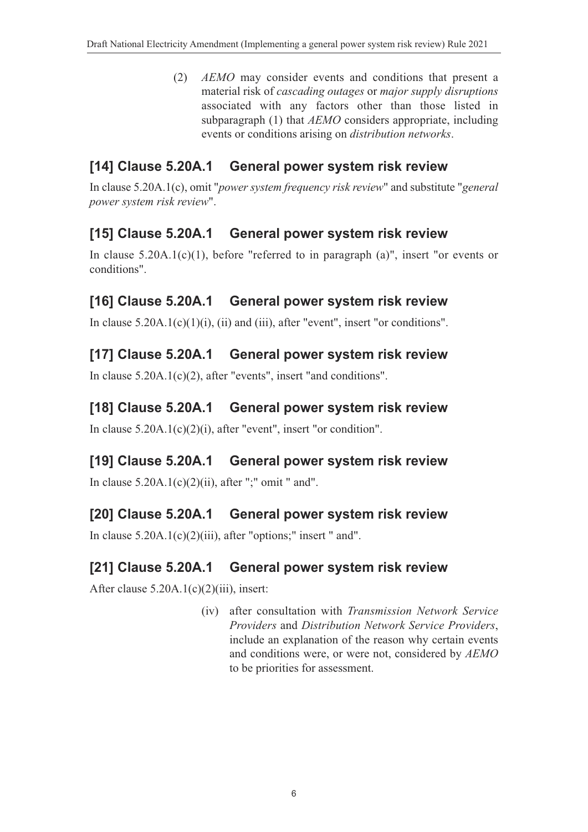(2) *AEMO* may consider events and conditions that present a material risk of *cascading outages* or *major supply disruptions* associated with any factors other than those listed in subparagraph (1) that *AEMO* considers appropriate, including events or conditions arising on *distribution networks*.

## **[14] Clause 5.20A.1 General power system risk review**

In clause 5.20A.1(c), omit "*power system frequency risk review*" and substitute "*general power system risk review*".

## **[15] Clause 5.20A.1 General power system risk review**

In clause  $5.20A.1(c)(1)$ , before "referred to in paragraph (a)", insert "or events or conditions".

## **[16] Clause 5.20A.1 General power system risk review**

In clause  $5.20A.1(c)(1)(i)$ , (ii) and (iii), after "event", insert "or conditions".

#### **[17] Clause 5.20A.1 General power system risk review**

In clause 5.20A.1(c)(2), after "events", insert "and conditions".

#### **[18] Clause 5.20A.1 General power system risk review**

In clause 5.20A.1(c)(2)(i), after "event", insert "or condition".

#### **[19] Clause 5.20A.1 General power system risk review**

In clause  $5.20A.1(c)(2)(ii)$ , after ";" omit " and".

#### **[20] Clause 5.20A.1 General power system risk review**

In clause  $5.20A.1(c)(2)(iii)$ , after "options;" insert " and".

#### **[21] Clause 5.20A.1 General power system risk review**

After clause 5.20A.1(c)(2)(iii), insert:

(iv) after consultation with *Transmission Network Service Providers* and *Distribution Network Service Providers*, include an explanation of the reason why certain events and conditions were, or were not, considered by *AEMO* to be priorities for assessment.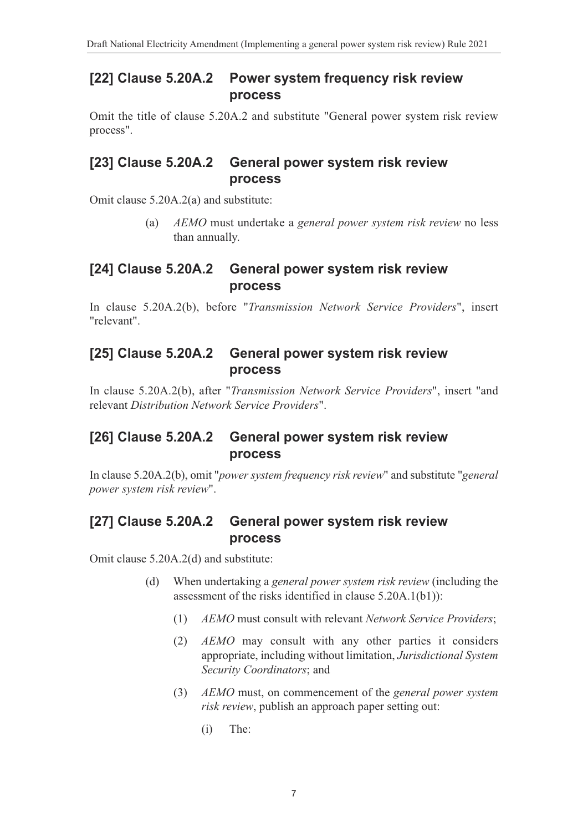#### **[22] Clause 5.20A.2 Power system frequency risk review process**

Omit the title of clause 5.20A.2 and substitute "General power system risk review process".

#### **[23] Clause 5.20A.2 General power system risk review process**

Omit clause 5.20A.2(a) and substitute:

(a) *AEMO* must undertake a *general power system risk review* no less than annually.

#### **[24] Clause 5.20A.2 General power system risk review process**

In clause 5.20A.2(b), before "*Transmission Network Service Providers*", insert "relevant".

#### **[25] Clause 5.20A.2 General power system risk review process**

In clause 5.20A.2(b), after "*Transmission Network Service Providers*", insert "and relevant *Distribution Network Service Providers*".

## **[26] Clause 5.20A.2 General power system risk review process**

In clause 5.20A.2(b), omit "*power system frequency risk review*" and substitute "*general power system risk review*".

#### **[27] Clause 5.20A.2 General power system risk review process**

Omit clause 5.20A.2(d) and substitute:

- (d) When undertaking a *general power system risk review* (including the assessment of the risks identified in clause 5.20A.1(b1)):
	- (1) *AEMO* must consult with relevant *Network Service Providers*;
	- (2) *AEMO* may consult with any other parties it considers appropriate, including without limitation, *Jurisdictional System Security Coordinators*; and
	- (3) *AEMO* must, on commencement of the *general power system risk review*, publish an approach paper setting out:
		- (i) The: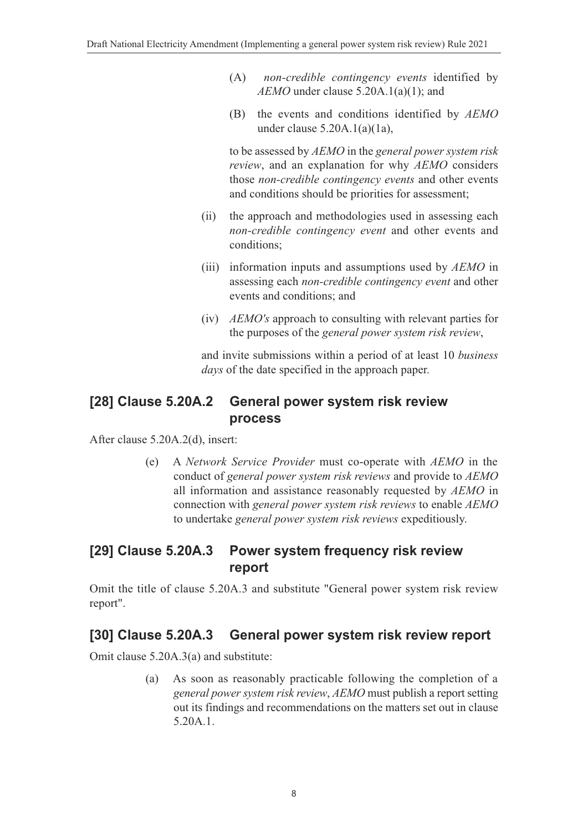- (A) *non-credible contingency events* identified by *AEMO* under clause 5.20A.1(a)(1); and
- (B) the events and conditions identified by *AEMO* under clause 5.20A.1(a)(1a),

to be assessed by *AEMO* in the *general power system risk review*, and an explanation for why *AEMO* considers those *non-credible contingency events* and other events and conditions should be priorities for assessment;

- (ii) the approach and methodologies used in assessing each *non-credible contingency event* and other events and conditions;
- (iii) information inputs and assumptions used by *AEMO* in assessing each *non-credible contingency event* and other events and conditions; and
- (iv) *AEMO's* approach to consulting with relevant parties for the purposes of the *general power system risk review*,

and invite submissions within a period of at least 10 *business days* of the date specified in the approach paper.

#### **[28] Clause 5.20A.2 General power system risk review process**

After clause 5.20A.2(d), insert:

(e) A *Network Service Provider* must co-operate with *AEMO* in the conduct of *general power system risk reviews* and provide to *AEMO* all information and assistance reasonably requested by *AEMO* in connection with *general power system risk reviews* to enable *AEMO* to undertake *general power system risk reviews* expeditiously.

#### **[29] Clause 5.20A.3 Power system frequency risk review report**

Omit the title of clause 5.20A.3 and substitute "General power system risk review report".

#### **[30] Clause 5.20A.3 General power system risk review report**

Omit clause 5.20A.3(a) and substitute:

(a) As soon as reasonably practicable following the completion of a *general power system risk review*, *AEMO* must publish a report setting out its findings and recommendations on the matters set out in clause 5.20A.1.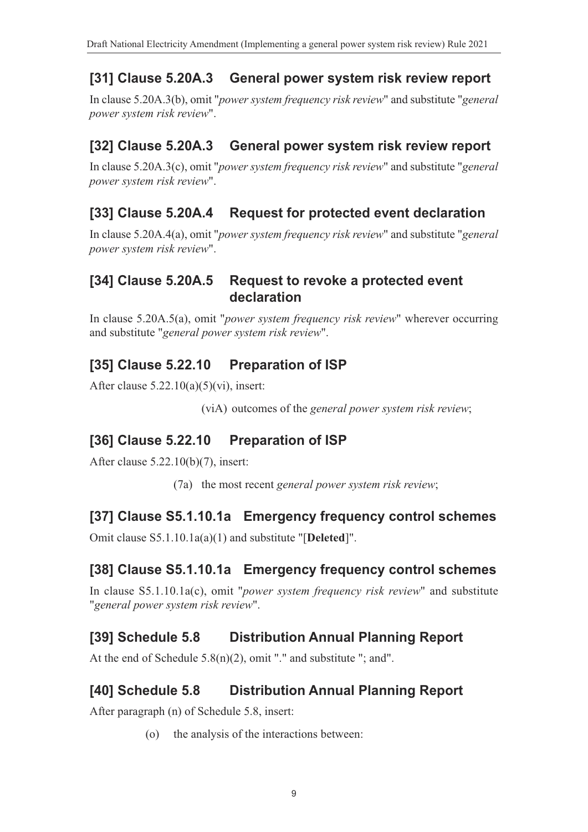# **[31] Clause 5.20A.3 General power system risk review report**

In clause 5.20A.3(b), omit "*power system frequency risk review*" and substitute "*general power system risk review*".

## **[32] Clause 5.20A.3 General power system risk review report**

In clause 5.20A.3(c), omit "*power system frequency risk review*" and substitute "*general power system risk review*".

## **[33] Clause 5.20A.4 Request for protected event declaration**

In clause 5.20A.4(a), omit "*power system frequency risk review*" and substitute "*general power system risk review*".

#### **[34] Clause 5.20A.5 Request to revoke a protected event declaration**

In clause 5.20A.5(a), omit "*power system frequency risk review*" wherever occurring and substitute "*general power system risk review*".

## **[35] Clause 5.22.10 Preparation of ISP**

After clause  $5.22.10(a)(5)(vi)$ , insert:

(viA) outcomes of the *general power system risk review*;

## **[36] Clause 5.22.10 Preparation of ISP**

After clause 5.22.10(b)(7), insert:

(7a) the most recent *general power system risk review*;

## **[37] Clause S5.1.10.1a Emergency frequency control schemes**

Omit clause S5.1.10.1a(a)(1) and substitute "[**Deleted**]".

## **[38] Clause S5.1.10.1a Emergency frequency control schemes**

In clause S5.1.10.1a(c), omit "*power system frequency risk review*" and substitute "*general power system risk review*".

## **[39] Schedule 5.8 Distribution Annual Planning Report**

At the end of Schedule  $5.8(n)(2)$ , omit "." and substitute "; and".

## **[40] Schedule 5.8 Distribution Annual Planning Report**

After paragraph (n) of Schedule 5.8, insert:

(o) the analysis of the interactions between: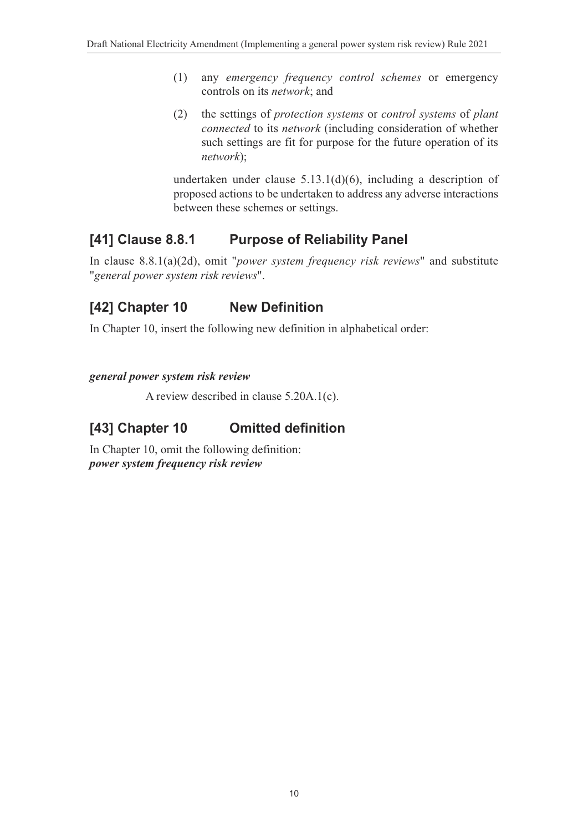- (1) any *emergency frequency control schemes* or emergency controls on its *network*; and
- (2) the settings of *protection systems* or *control systems* of *plant connected* to its *network* (including consideration of whether such settings are fit for purpose for the future operation of its *network*);

undertaken under clause 5.13.1(d)(6), including a description of proposed actions to be undertaken to address any adverse interactions between these schemes or settings.

## **[41] Clause 8.8.1 Purpose of Reliability Panel**

In clause 8.8.1(a)(2d), omit "*power system frequency risk reviews*" and substitute "*general power system risk reviews*".

# **[42] Chapter 10 New Definition**

In Chapter 10, insert the following new definition in alphabetical order:

# *general power system risk review*

A review described in clause 5.20A.1(c).

## **[43] Chapter 10 Omitted definition**

In Chapter 10, omit the following definition: *power system frequency risk review*